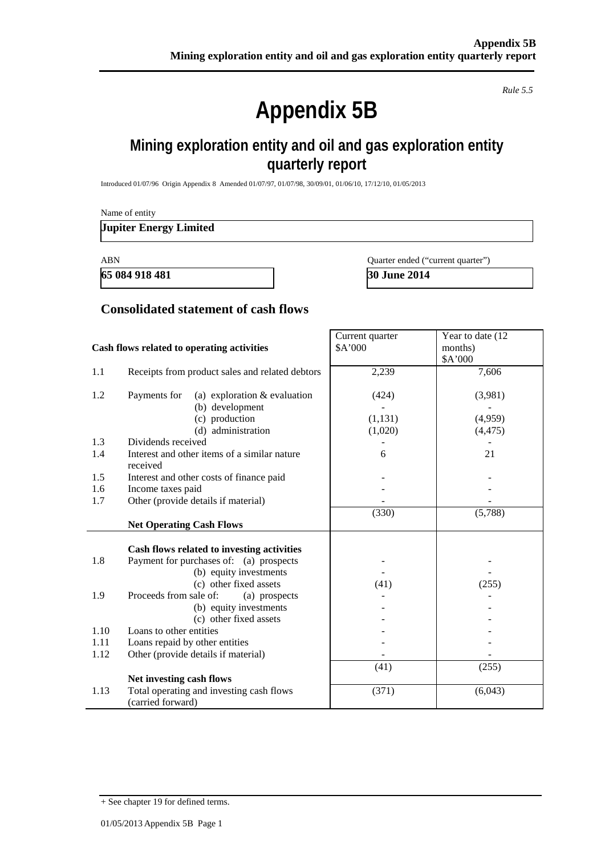#### *Rule 5.5*

# **Appendix 5B**

# **Mining exploration entity and oil and gas exploration entity quarterly report**

Introduced 01/07/96 Origin Appendix 8 Amended 01/07/97, 01/07/98, 30/09/01, 01/06/10, 17/12/10, 01/05/2013

Name of entity

#### **Jupiter Energy Limited**

**65 084 918 481 30 June 2014**

ABN Quarter ended ("current quarter")

#### **Consolidated statement of cash flows**

| Cash flows related to operating activities |                                                                   | Current quarter<br>\$A'000 | Year to date (12<br>months)<br>\$A'000 |
|--------------------------------------------|-------------------------------------------------------------------|----------------------------|----------------------------------------|
| 1.1                                        | Receipts from product sales and related debtors                   | 2,239                      | 7,606                                  |
| 1.2                                        | Payments for<br>(a) exploration $&$ evaluation<br>(b) development | (424)                      | (3,981)                                |
|                                            | (c) production                                                    | (1, 131)                   | (4,959)                                |
|                                            | (d) administration                                                | (1,020)                    | (4, 475)                               |
| 1.3                                        | Dividends received                                                |                            |                                        |
| 1.4                                        | Interest and other items of a similar nature                      | 6                          | 21                                     |
|                                            | received                                                          |                            |                                        |
| 1.5                                        | Interest and other costs of finance paid                          |                            |                                        |
| 1.6                                        | Income taxes paid                                                 |                            |                                        |
| 1.7                                        | Other (provide details if material)                               |                            |                                        |
|                                            |                                                                   | (330)                      | (5,788)                                |
|                                            | <b>Net Operating Cash Flows</b>                                   |                            |                                        |
|                                            | Cash flows related to investing activities                        |                            |                                        |
| 1.8                                        | Payment for purchases of: (a) prospects                           |                            |                                        |
|                                            | (b) equity investments                                            |                            |                                        |
|                                            | (c) other fixed assets                                            | (41)                       | (255)                                  |
| 1.9                                        | Proceeds from sale of:<br>(a) prospects                           |                            |                                        |
|                                            | (b) equity investments                                            |                            |                                        |
|                                            | (c) other fixed assets                                            |                            |                                        |
| 1.10                                       | Loans to other entities                                           |                            |                                        |
| 1.11                                       | Loans repaid by other entities                                    |                            |                                        |
| 1.12                                       | Other (provide details if material)                               |                            |                                        |
|                                            |                                                                   | (41)                       | (255)                                  |
|                                            | Net investing cash flows                                          |                            |                                        |
| 1.13                                       | Total operating and investing cash flows<br>(carried forward)     | (371)                      | (6,043)                                |

<sup>+</sup> See chapter 19 for defined terms.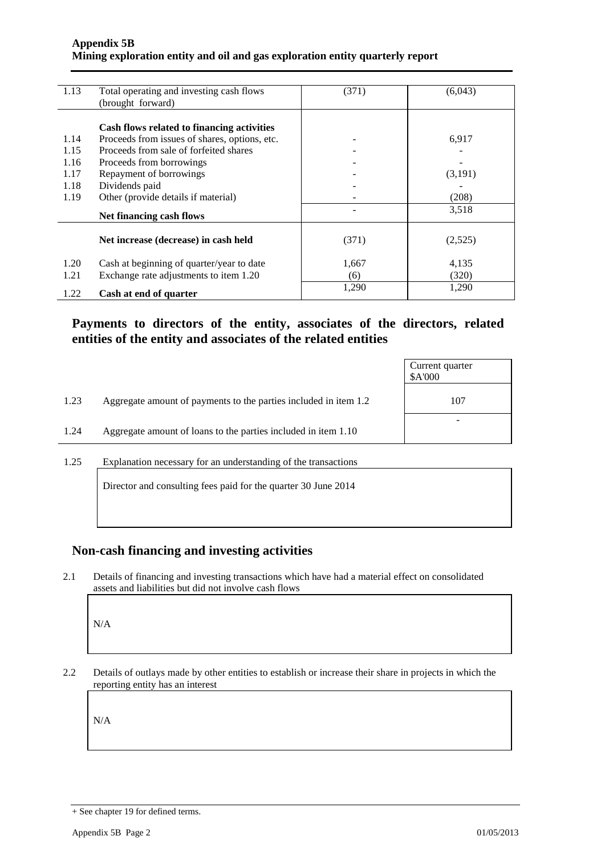#### **Appendix 5B Mining exploration entity and oil and gas exploration entity quarterly report**

| 1.13                                 | Total operating and investing cash flows<br>(brought forward)                                                                                                                                                  | (371) | (6,043)          |
|--------------------------------------|----------------------------------------------------------------------------------------------------------------------------------------------------------------------------------------------------------------|-------|------------------|
| 1.14<br>1.15<br>1.16<br>1.17<br>1.18 | Cash flows related to financing activities<br>Proceeds from issues of shares, options, etc.<br>Proceeds from sale of forfeited shares<br>Proceeds from borrowings<br>Repayment of borrowings<br>Dividends paid |       | 6,917<br>(3,191) |
| 1.19                                 | Other (provide details if material)<br>Net financing cash flows                                                                                                                                                |       | (208)<br>3,518   |
|                                      | Net increase (decrease) in cash held                                                                                                                                                                           | (371) | (2,525)          |
| 1.20                                 | Cash at beginning of quarter/year to date                                                                                                                                                                      | 1,667 | 4,135            |
| 1.21                                 | Exchange rate adjustments to item 1.20                                                                                                                                                                         | (6)   | (320)            |
| 1.22                                 | Cash at end of quarter                                                                                                                                                                                         | 1,290 | 1,290            |

#### **Payments to directors of the entity, associates of the directors, related entities of the entity and associates of the related entities**

|      |                                                                  | Current quarter<br>\$A'000 |
|------|------------------------------------------------------------------|----------------------------|
| 1.23 | Aggregate amount of payments to the parties included in item 1.2 | 107                        |
| 1.24 | Aggregate amount of loans to the parties included in item 1.10   |                            |
| 125  | Explanation necessary for an understanding of the transactions   |                            |

an understanding of the transaction

Director and consulting fees paid for the quarter 30 June 2014

#### **Non-cash financing and investing activities**

2.1 Details of financing and investing transactions which have had a material effect on consolidated assets and liabilities but did not involve cash flows

N/A

2.2 Details of outlays made by other entities to establish or increase their share in projects in which the reporting entity has an interest

N/A

<sup>+</sup> See chapter 19 for defined terms.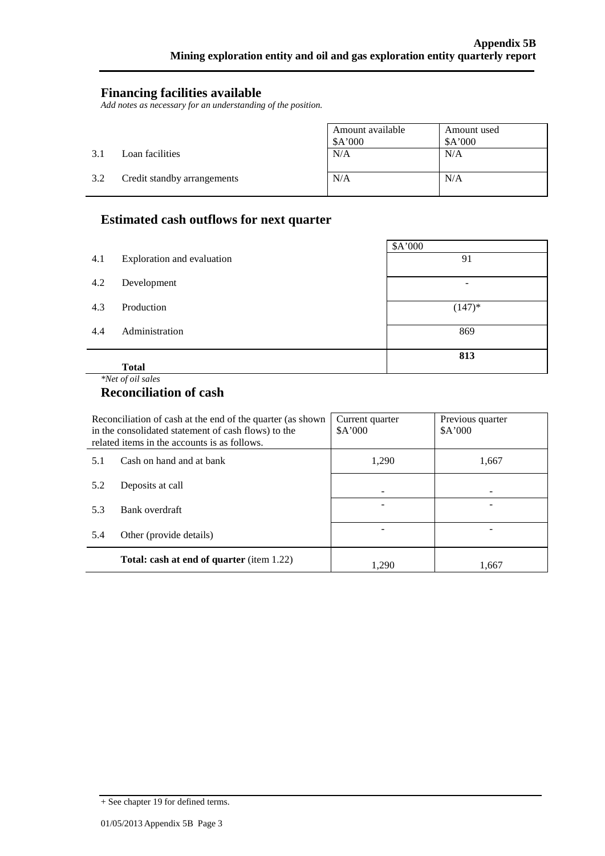#### **Financing facilities available**

*Add notes as necessary for an understanding of the position.*

|     |                             | Amount available<br>\$A'000 | Amount used<br>A'000 |
|-----|-----------------------------|-----------------------------|----------------------|
| 3.1 | Loan facilities             | N/A                         | N/A                  |
| 3.2 | Credit standby arrangements | N/A                         | N/A                  |

## **Estimated cash outflows for next quarter**

|     |                            | \$A'000   |
|-----|----------------------------|-----------|
| 4.1 | Exploration and evaluation | 91        |
| 4.2 | Development                | ۰         |
| 4.3 | Production                 | $(147)^*$ |
| 4.4 | Administration             | 869       |
|     |                            | 813       |
|     | <b>Total</b>               |           |

#### *\*Net of oil sales*

l.

#### **Reconciliation of cash**

| Reconciliation of cash at the end of the quarter (as shown<br>in the consolidated statement of cash flows) to the<br>related items in the accounts is as follows. |                                                  | Current quarter<br>\$A'000 | Previous quarter<br>A'000 |
|-------------------------------------------------------------------------------------------------------------------------------------------------------------------|--------------------------------------------------|----------------------------|---------------------------|
| 5.1                                                                                                                                                               | Cash on hand and at bank                         | 1,290                      | 1,667                     |
| 5.2                                                                                                                                                               | Deposits at call                                 |                            |                           |
| 5.3                                                                                                                                                               | Bank overdraft                                   |                            |                           |
| 5.4<br>Other (provide details)                                                                                                                                    |                                                  |                            |                           |
|                                                                                                                                                                   | <b>Total: cash at end of quarter (item 1.22)</b> | 1.290                      | 1.667                     |

<sup>+</sup> See chapter 19 for defined terms.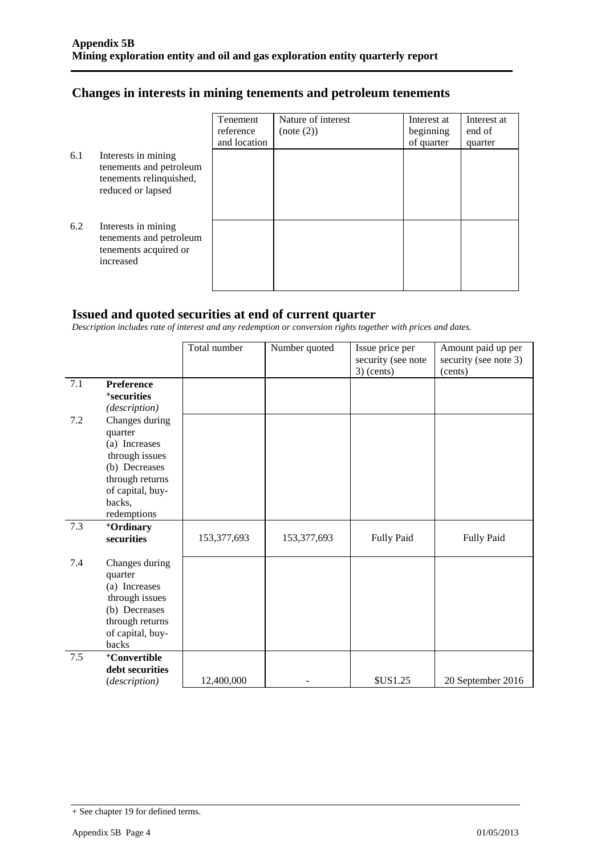## **Changes in interests in mining tenements and petroleum tenements**

|     |                                                                                                | Tenement<br>reference | Nature of interest<br>(note (2)) | Interest at<br>beginning | Interest at<br>end of |
|-----|------------------------------------------------------------------------------------------------|-----------------------|----------------------------------|--------------------------|-----------------------|
|     |                                                                                                | and location          |                                  | of quarter               | quarter               |
| 6.1 | Interests in mining<br>tenements and petroleum<br>tenements relinquished,<br>reduced or lapsed |                       |                                  |                          |                       |
| 6.2 | Interests in mining<br>tenements and petroleum<br>tenements acquired or<br>increased           |                       |                                  |                          |                       |

## **Issued and quoted securities at end of current quarter**

*Description includes rate of interest and any redemption or conversion rights together with prices and dates.*

|     |                                                                                                                                               | Total number | Number quoted | Issue price per<br>security (see note<br>$3)$ (cents) | Amount paid up per<br>security (see note 3)<br>(cents) |
|-----|-----------------------------------------------------------------------------------------------------------------------------------------------|--------------|---------------|-------------------------------------------------------|--------------------------------------------------------|
| 7.1 | <b>Preference</b><br><sup>+</sup> securities<br>(description)                                                                                 |              |               |                                                       |                                                        |
| 7.2 | Changes during<br>quarter<br>(a) Increases<br>through issues<br>(b) Decreases<br>through returns<br>of capital, buy-<br>backs,<br>redemptions |              |               |                                                       |                                                        |
| 7.3 | <sup>+</sup> Ordinary<br>securities                                                                                                           | 153,377,693  | 153,377,693   | Fully Paid                                            | Fully Paid                                             |
| 7.4 | Changes during<br>quarter<br>(a) Increases<br>through issues<br>(b) Decreases<br>through returns<br>of capital, buy-<br>backs                 |              |               |                                                       |                                                        |
| 7.5 | <sup>+</sup> Convertible                                                                                                                      |              |               |                                                       |                                                        |
|     | debt securities<br>(description)                                                                                                              | 12,400,000   |               | <b>\$US1.25</b>                                       | 20 September 2016                                      |

<sup>+</sup> See chapter 19 for defined terms.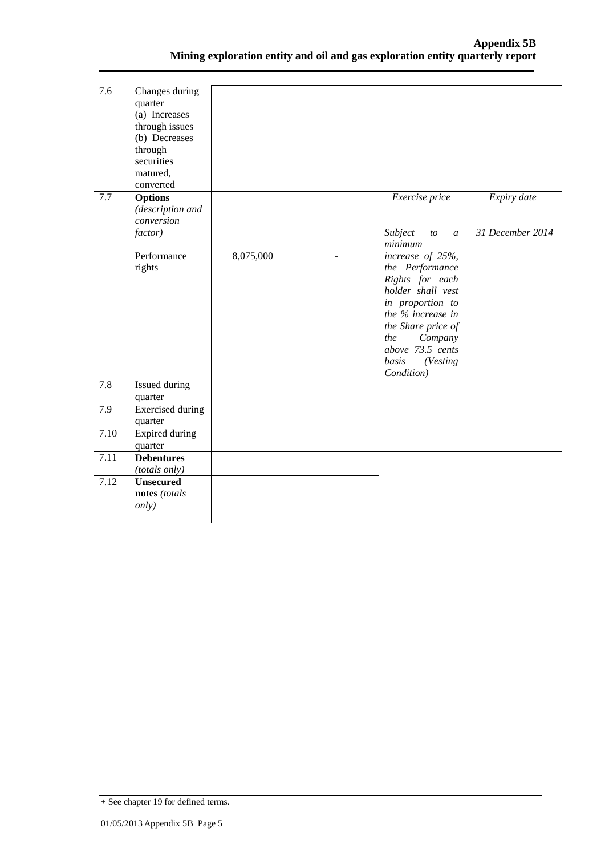| 7.6  | Changes during<br>quarter<br>(a) Increases<br>through issues<br>(b) Decreases<br>through<br>securities<br>matured,<br>converted |           |                                                                                                                                                                                                                     |                                 |
|------|---------------------------------------------------------------------------------------------------------------------------------|-----------|---------------------------------------------------------------------------------------------------------------------------------------------------------------------------------------------------------------------|---------------------------------|
| 7.7  | <b>Options</b><br>(description and<br>conversion<br>factor)                                                                     |           | Exercise price<br>Subject<br>to<br>$\mathfrak{a}$<br>minimum                                                                                                                                                        | Expiry date<br>31 December 2014 |
|      | Performance<br>rights                                                                                                           | 8,075,000 | increase of 25%,<br>the Performance<br>Rights for each<br>holder shall vest<br>in proportion to<br>the % increase in<br>the Share price of<br>the<br>Company<br>above 73.5 cents<br>basis<br>(Vesting<br>Condition) |                                 |
| 7.8  | <b>Issued during</b><br>quarter                                                                                                 |           |                                                                                                                                                                                                                     |                                 |
| 7.9  | <b>Exercised</b> during<br>quarter                                                                                              |           |                                                                                                                                                                                                                     |                                 |
| 7.10 | Expired during<br>quarter                                                                                                       |           |                                                                                                                                                                                                                     |                                 |
| 7.11 | <b>Debentures</b><br>(totals only)                                                                                              |           |                                                                                                                                                                                                                     |                                 |
| 7.12 | <b>Unsecured</b><br>notes (totals<br>only)                                                                                      |           |                                                                                                                                                                                                                     |                                 |

<sup>+</sup> See chapter 19 for defined terms.